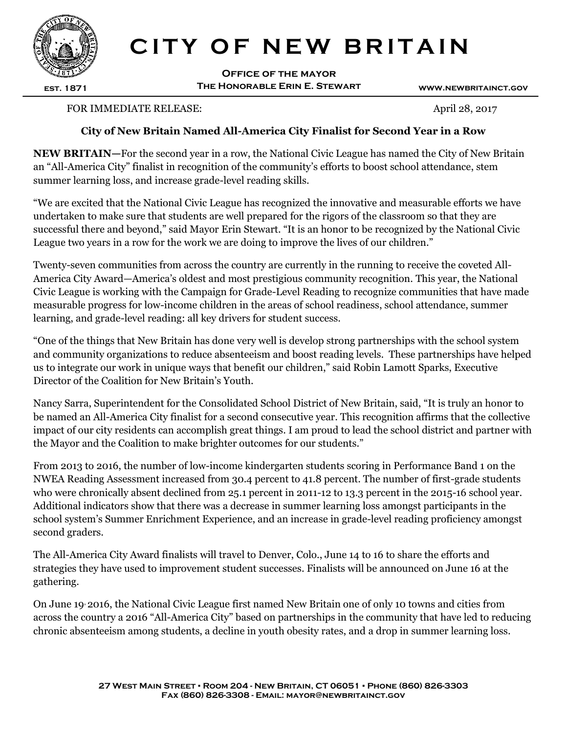

## **CITY OF NEW BRITAIN**

**Office of the mayor The Honorable Erin E. Stewart**

**www.newbritainct.gov**

## FOR IMMEDIATE RELEASE: April 28, 2017

## **City of New Britain Named All-America City Finalist for Second Year in a Row**

an "All-America City" finalist in recognition of the community's efforts to boost school attendance, stem **NEW BRITAIN—**For the second year in a row, the National Civic League has named the City of New Britain summer learning loss, and increase grade-level reading skills.

"We are excited that the National Civic League has recognized the innovative and measurable efforts we have undertaken to make sure that students are well prepared for the rigors of the classroom so that they are successful there and beyond," said Mayor Erin Stewart. "It is an honor to be recognized by the National Civic League two years in a row for the work we are doing to improve the lives of our children."

Twenty-seven communities from across the country are currently in the running to receive the coveted All-America City Award—America's oldest and most prestigious community recognition. This year, the National Civic League is working with the Campaign for Grade-Level Reading to recognize communities that have made measurable progress for low-income children in the areas of school readiness, school attendance, summer learning, and grade-level reading: all key drivers for student success.

"One of the things that New Britain has done very well is develop strong partnerships with the school system and community organizations to reduce absenteeism and boost reading levels. These partnerships have helped us to integrate our work in unique ways that benefit our children," said Robin Lamott Sparks, Executive Director of the Coalition for New Britain's Youth.

Nancy Sarra, Superintendent for the Consolidated School District of New Britain, said, "It is truly an honor to be named an All-America City finalist for a second consecutive year. This recognition affirms that the collective impact of our city residents can accomplish great things. I am proud to lead the school district and partner with the Mayor and the Coalition to make brighter outcomes for our students."

From 2013 to 2016, the number of low-income kindergarten students scoring in Performance Band 1 on the NWEA Reading Assessment increased from 30.4 percent to 41.8 percent. The number of first-grade students who were chronically absent declined from 25.1 percent in 2011-12 to 13.3 percent in the 2015-16 school year. Additional indicators show that there was a decrease in summer learning loss amongst participants in the school system's Summer Enrichment Experience, and an increase in grade-level reading proficiency amongst second graders.

The All-America City Award finalists will travel to Denver, Colo., June 14 to 16 to share the efforts and strategies they have used to improvement student successes. Finalists will be announced on June 16 at the gathering.

On June 19, 2016, the National Civic League first named New Britain one of only 10 towns and cities from across the country a 2016 "All-America City" based on partnerships in the community that have led to reducing chronic absenteeism among students, a decline in youth obesity rates, and a drop in summer learning loss.